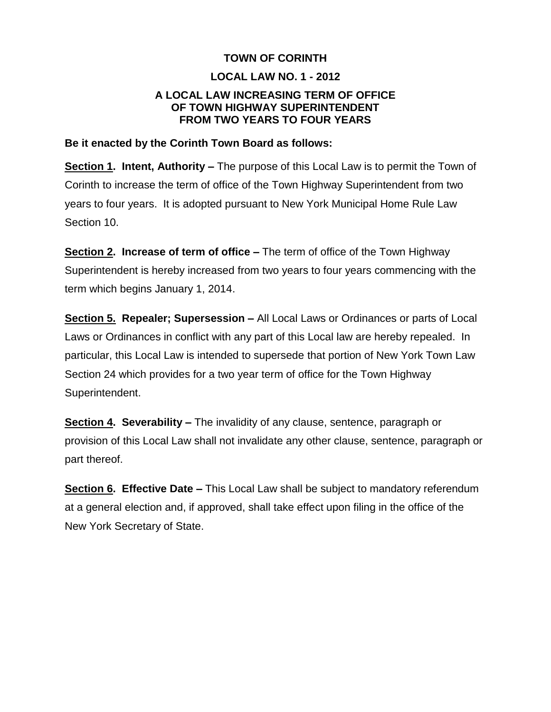### **TOWN OF CORINTH**

## **LOCAL LAW NO. 1 - 2012**

### **A LOCAL LAW INCREASING TERM OF OFFICE OF TOWN HIGHWAY SUPERINTENDENT FROM TWO YEARS TO FOUR YEARS**

### **Be it enacted by the Corinth Town Board as follows:**

**Section 1. Intent, Authority –** The purpose of this Local Law is to permit the Town of Corinth to increase the term of office of the Town Highway Superintendent from two years to four years. It is adopted pursuant to New York Municipal Home Rule Law Section 10.

**Section 2. Increase of term of office –** The term of office of the Town Highway Superintendent is hereby increased from two years to four years commencing with the term which begins January 1, 2014.

**Section 5. Repealer; Supersession –** All Local Laws or Ordinances or parts of Local Laws or Ordinances in conflict with any part of this Local law are hereby repealed. In particular, this Local Law is intended to supersede that portion of New York Town Law Section 24 which provides for a two year term of office for the Town Highway Superintendent.

**Section 4. Severability –** The invalidity of any clause, sentence, paragraph or provision of this Local Law shall not invalidate any other clause, sentence, paragraph or part thereof.

**Section 6. Effective Date –** This Local Law shall be subject to mandatory referendum at a general election and, if approved, shall take effect upon filing in the office of the New York Secretary of State.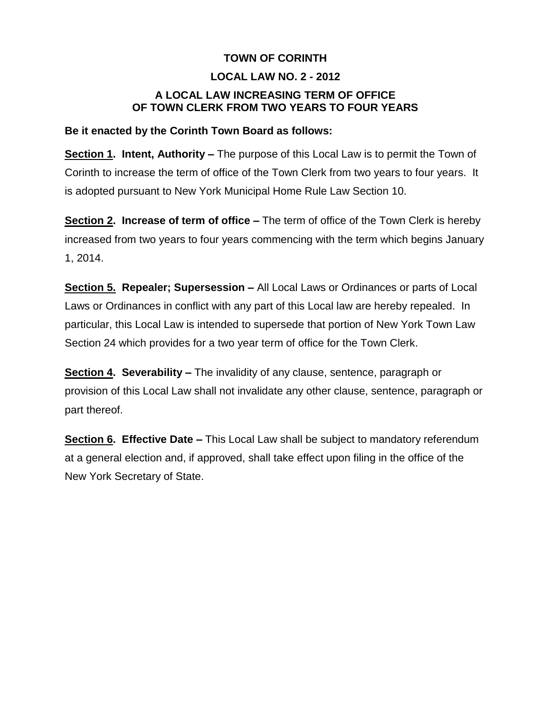# **TOWN OF CORINTH**

## **LOCAL LAW NO. 2 - 2012**

# **A LOCAL LAW INCREASING TERM OF OFFICE OF TOWN CLERK FROM TWO YEARS TO FOUR YEARS**

### **Be it enacted by the Corinth Town Board as follows:**

**Section 1. Intent, Authority –** The purpose of this Local Law is to permit the Town of Corinth to increase the term of office of the Town Clerk from two years to four years. It is adopted pursuant to New York Municipal Home Rule Law Section 10.

**Section 2. Increase of term of office –** The term of office of the Town Clerk is hereby increased from two years to four years commencing with the term which begins January 1, 2014.

**Section 5. Repealer; Supersession –** All Local Laws or Ordinances or parts of Local Laws or Ordinances in conflict with any part of this Local law are hereby repealed. In particular, this Local Law is intended to supersede that portion of New York Town Law Section 24 which provides for a two year term of office for the Town Clerk.

**Section 4. Severability –** The invalidity of any clause, sentence, paragraph or provision of this Local Law shall not invalidate any other clause, sentence, paragraph or part thereof.

**Section 6. Effective Date –** This Local Law shall be subject to mandatory referendum at a general election and, if approved, shall take effect upon filing in the office of the New York Secretary of State.